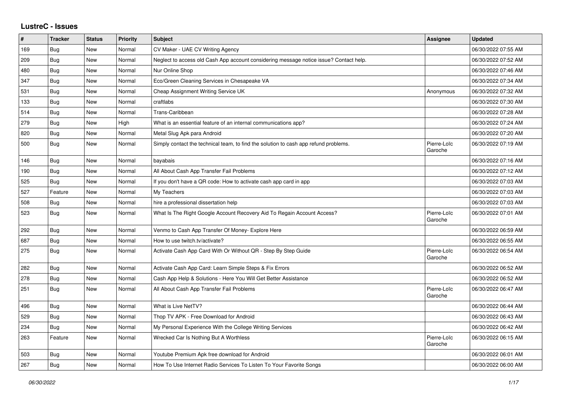## **LustreC - Issues**

| ∦   | <b>Tracker</b> | <b>Status</b> | <b>Priority</b> | <b>Subject</b>                                                                         | Assignee               | <b>Updated</b>      |
|-----|----------------|---------------|-----------------|----------------------------------------------------------------------------------------|------------------------|---------------------|
| 169 | Bug            | New           | Normal          | CV Maker - UAE CV Writing Agency                                                       |                        | 06/30/2022 07:55 AM |
| 209 | Bug            | New           | Normal          | Neglect to access old Cash App account considering message notice issue? Contact help. |                        | 06/30/2022 07:52 AM |
| 480 | Bug            | New           | Normal          | Nur Online Shop                                                                        |                        | 06/30/2022 07:46 AM |
| 347 | Bug            | New           | Normal          | Eco/Green Cleaning Services in Chesapeake VA                                           |                        | 06/30/2022 07:34 AM |
| 531 | Bug            | New           | Normal          | Cheap Assignment Writing Service UK                                                    | Anonymous              | 06/30/2022 07:32 AM |
| 133 | Bug            | New           | Normal          | craftlabs                                                                              |                        | 06/30/2022 07:30 AM |
| 514 | Bug            | New           | Normal          | Trans-Caribbean                                                                        |                        | 06/30/2022 07:28 AM |
| 279 | Bug            | New           | High            | What is an essential feature of an internal communications app?                        |                        | 06/30/2022 07:24 AM |
| 820 | Bug            | New           | Normal          | Metal Slug Apk para Android                                                            |                        | 06/30/2022 07:20 AM |
| 500 | <b>Bug</b>     | New           | Normal          | Simply contact the technical team, to find the solution to cash app refund problems.   | Pierre-Loïc<br>Garoche | 06/30/2022 07:19 AM |
| 146 | Bug            | New           | Normal          | bayabais                                                                               |                        | 06/30/2022 07:16 AM |
| 190 | <b>Bug</b>     | New           | Normal          | All About Cash App Transfer Fail Problems                                              |                        | 06/30/2022 07:12 AM |
| 525 | Bug            | New           | Normal          | If you don't have a QR code: How to activate cash app card in app                      |                        | 06/30/2022 07:03 AM |
| 527 | Feature        | New           | Normal          | My Teachers                                                                            |                        | 06/30/2022 07:03 AM |
| 508 | <b>Bug</b>     | New           | Normal          | hire a professional dissertation help                                                  |                        | 06/30/2022 07:03 AM |
| 523 | <b>Bug</b>     | New           | Normal          | What Is The Right Google Account Recovery Aid To Regain Account Access?                | Pierre-Loïc<br>Garoche | 06/30/2022 07:01 AM |
| 292 | Bug            | New           | Normal          | Venmo to Cash App Transfer Of Money- Explore Here                                      |                        | 06/30/2022 06:59 AM |
| 687 | Bug            | New           | Normal          | How to use twitch.tv/activate?                                                         |                        | 06/30/2022 06:55 AM |
| 275 | <b>Bug</b>     | New           | Normal          | Activate Cash App Card With Or Without QR - Step By Step Guide                         | Pierre-Loïc<br>Garoche | 06/30/2022 06:54 AM |
| 282 | Bug            | New           | Normal          | Activate Cash App Card: Learn Simple Steps & Fix Errors                                |                        | 06/30/2022 06:52 AM |
| 278 | <b>Bug</b>     | New           | Normal          | Cash App Help & Solutions - Here You Will Get Better Assistance                        |                        | 06/30/2022 06:52 AM |
| 251 | <b>Bug</b>     | New           | Normal          | All About Cash App Transfer Fail Problems                                              | Pierre-Loïc<br>Garoche | 06/30/2022 06:47 AM |
| 496 | Bug            | New           | Normal          | What is Live NetTV?                                                                    |                        | 06/30/2022 06:44 AM |
| 529 | Bug            | New           | Normal          | Thop TV APK - Free Download for Android                                                |                        | 06/30/2022 06:43 AM |
| 234 | Bug            | New           | Normal          | My Personal Experience With the College Writing Services                               |                        | 06/30/2022 06:42 AM |
| 263 | Feature        | New           | Normal          | Wrecked Car Is Nothing But A Worthless                                                 | Pierre-Loïc<br>Garoche | 06/30/2022 06:15 AM |
| 503 | Bug            | New           | Normal          | Youtube Premium Apk free download for Android                                          |                        | 06/30/2022 06:01 AM |
| 267 | Bug            | New           | Normal          | How To Use Internet Radio Services To Listen To Your Favorite Songs                    |                        | 06/30/2022 06:00 AM |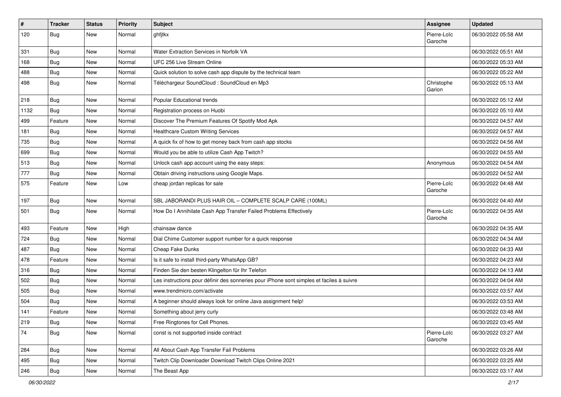| $\pmb{\#}$ | <b>Tracker</b> | <b>Status</b> | Priority | <b>Subject</b>                                                                           | <b>Assignee</b>        | <b>Updated</b>      |
|------------|----------------|---------------|----------|------------------------------------------------------------------------------------------|------------------------|---------------------|
| 120        | <b>Bug</b>     | New           | Normal   | ghfjtkx                                                                                  | Pierre-Loïc<br>Garoche | 06/30/2022 05:58 AM |
| 331        | <b>Bug</b>     | New           | Normal   | Water Extraction Services in Norfolk VA                                                  |                        | 06/30/2022 05:51 AM |
| 168        | <b>Bug</b>     | New           | Normal   | UFC 256 Live Stream Online                                                               |                        | 06/30/2022 05:33 AM |
| 488        | Bug            | New           | Normal   | Quick solution to solve cash app dispute by the technical team                           |                        | 06/30/2022 05:22 AM |
| 498        | <b>Bug</b>     | New           | Normal   | Téléchargeur SoundCloud : SoundCloud en Mp3                                              | Christophe<br>Garion   | 06/30/2022 05:13 AM |
| 218        | Bug            | New           | Normal   | Popular Educational trends                                                               |                        | 06/30/2022 05:12 AM |
| 1132       | Bug            | New           | Normal   | Registration process on Huobi                                                            |                        | 06/30/2022 05:10 AM |
| 499        | Feature        | New           | Normal   | Discover The Premium Features Of Spotify Mod Apk                                         |                        | 06/30/2022 04:57 AM |
| 181        | Bug            | New           | Normal   | <b>Healthcare Custom Writing Services</b>                                                |                        | 06/30/2022 04:57 AM |
| 735        | <b>Bug</b>     | New           | Normal   | A quick fix of how to get money back from cash app stocks                                |                        | 06/30/2022 04:56 AM |
| 699        | <b>Bug</b>     | New           | Normal   | Would you be able to utilize Cash App Twitch?                                            |                        | 06/30/2022 04:55 AM |
| 513        | <b>Bug</b>     | New           | Normal   | Unlock cash app account using the easy steps:                                            | Anonymous              | 06/30/2022 04:54 AM |
| 777        | <b>Bug</b>     | New           | Normal   | Obtain driving instructions using Google Maps.                                           |                        | 06/30/2022 04:52 AM |
| 575        | Feature        | New           | Low      | cheap jordan replicas for sale                                                           | Pierre-Loïc<br>Garoche | 06/30/2022 04:48 AM |
| 197        | <b>Bug</b>     | <b>New</b>    | Normal   | SBL JABORANDI PLUS HAIR OIL - COMPLETE SCALP CARE (100ML)                                |                        | 06/30/2022 04:40 AM |
| 501        | Bug            | New           | Normal   | How Do I Annihilate Cash App Transfer Failed Problems Effectively                        | Pierre-Loïc<br>Garoche | 06/30/2022 04:35 AM |
| 493        | Feature        | New           | High     | chainsaw dance                                                                           |                        | 06/30/2022 04:35 AM |
| 724        | <b>Bug</b>     | New           | Normal   | Dial Chime Customer support number for a quick response                                  |                        | 06/30/2022 04:34 AM |
| 487        | <b>Bug</b>     | New           | Normal   | Cheap Fake Dunks                                                                         |                        | 06/30/2022 04:33 AM |
| 478        | Feature        | New           | Normal   | Is it safe to install third-party WhatsApp GB?                                           |                        | 06/30/2022 04:23 AM |
| 316        | Bug            | New           | Normal   | Finden Sie den besten Klingelton für Ihr Telefon                                         |                        | 06/30/2022 04:13 AM |
| 502        | Bug            | New           | Normal   | Les instructions pour définir des sonneries pour iPhone sont simples et faciles à suivre |                        | 06/30/2022 04:04 AM |
| 505        | <b>Bug</b>     | New           | Normal   | www.trendmicro.com/activate                                                              |                        | 06/30/2022 03:57 AM |
| 504        | <b>Bug</b>     | New           | Normal   | A beginner should always look for online Java assignment help!                           |                        | 06/30/2022 03:53 AM |
| 141        | Feature        | New           | Normal   | Something about jerry curly                                                              |                        | 06/30/2022 03:48 AM |
| 219        | <b>Bug</b>     | New           | Normal   | Free Ringtones for Cell Phones.                                                          |                        | 06/30/2022 03:45 AM |
| 74         | <b>Bug</b>     | New           | Normal   | const is not supported inside contract                                                   | Pierre-Loïc<br>Garoche | 06/30/2022 03:27 AM |
| 284        | Bug            | New           | Normal   | All About Cash App Transfer Fail Problems                                                |                        | 06/30/2022 03:26 AM |
| 495        | Bug            | New           | Normal   | Twitch Clip Downloader Download Twitch Clips Online 2021                                 |                        | 06/30/2022 03:25 AM |
| 246        | Bug            | New           | Normal   | The Beast App                                                                            |                        | 06/30/2022 03:17 AM |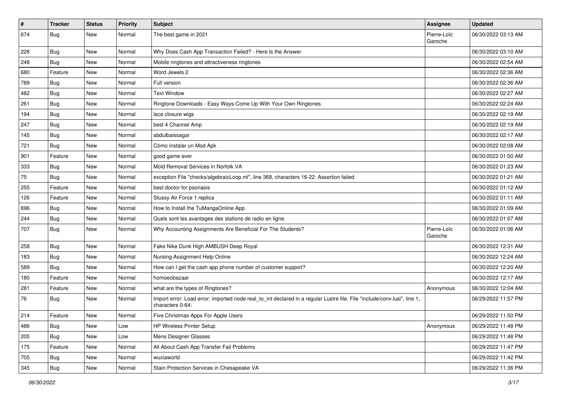| $\vert$ # | <b>Tracker</b> | <b>Status</b> | <b>Priority</b> | <b>Subject</b>                                                                                                                               | <b>Assignee</b>        | <b>Updated</b>      |
|-----------|----------------|---------------|-----------------|----------------------------------------------------------------------------------------------------------------------------------------------|------------------------|---------------------|
| 674       | Bug            | New           | Normal          | The best game in 2021                                                                                                                        | Pierre-Loïc<br>Garoche | 06/30/2022 03:13 AM |
| 228       | <b>Bug</b>     | New           | Normal          | Why Does Cash App Transaction Failed? - Here Is the Answer                                                                                   |                        | 06/30/2022 03:10 AM |
| 248       | <b>Bug</b>     | New           | Normal          | Mobile ringtones and attractiveness ringtones                                                                                                |                        | 06/30/2022 02:54 AM |
| 680       | Feature        | New           | Normal          | Word Jewels 2                                                                                                                                |                        | 06/30/2022 02:36 AM |
| 789       | <b>Bug</b>     | New           | Normal          | Full version                                                                                                                                 |                        | 06/30/2022 02:36 AM |
| 482       | <b>Bug</b>     | New           | Normal          | <b>Text Window</b>                                                                                                                           |                        | 06/30/2022 02:27 AM |
| 261       | <b>Bug</b>     | New           | Normal          | Ringtone Downloads - Easy Ways Come Up With Your Own Ringtones                                                                               |                        | 06/30/2022 02:24 AM |
| 194       | <b>Bug</b>     | New           | Normal          | lace closure wigs                                                                                                                            |                        | 06/30/2022 02:19 AM |
| 247       | Bug            | New           | Normal          | best 4 Channel Amp                                                                                                                           |                        | 06/30/2022 02:19 AM |
| 145       | <b>Bug</b>     | New           | Normal          | abdulbaissagar                                                                                                                               |                        | 06/30/2022 02:17 AM |
| 721       | <b>Bug</b>     | New           | Normal          | Cómo instalar un Mod Apk                                                                                                                     |                        | 06/30/2022 02:08 AM |
| 901       | Feature        | New           | Normal          | good game ever                                                                                                                               |                        | 06/30/2022 01:50 AM |
| 333       | <b>Bug</b>     | New           | Normal          | Mold Removal Services in Norfolk VA                                                                                                          |                        | 06/30/2022 01:23 AM |
| 75        | <b>Bug</b>     | New           | Normal          | exception File "checks/algebraicLoop.ml", line 368, characters 16-22: Assertion failed                                                       |                        | 06/30/2022 01:21 AM |
| 255       | Feature        | New           | Normal          | best doctor for psoriasis                                                                                                                    |                        | 06/30/2022 01:12 AM |
| 126       | Feature        | New           | Normal          | Stussy Air Force 1 replica                                                                                                                   |                        | 06/30/2022 01:11 AM |
| 696       | Bug            | New           | Normal          | How to Install the TuMangaOnline App                                                                                                         |                        | 06/30/2022 01:09 AM |
| 244       | <b>Bug</b>     | New           | Normal          | Quels sont les avantages des stations de radio en ligne.                                                                                     |                        | 06/30/2022 01:07 AM |
| 707       | <b>Bug</b>     | New           | Normal          | Why Accounting Assignments Are Beneficial For The Students?                                                                                  | Pierre-Loïc<br>Garoche | 06/30/2022 01:06 AM |
| 258       | <b>Bug</b>     | New           | Normal          | Fake Nike Dunk High AMBUSH Deep Royal                                                                                                        |                        | 06/30/2022 12:31 AM |
| 183       | <b>Bug</b>     | New           | Normal          | Nursing Assignment Help Online                                                                                                               |                        | 06/30/2022 12:24 AM |
| 589       | <b>Bug</b>     | New           | Normal          | How can I get the cash app phone number of customer support?                                                                                 |                        | 06/30/2022 12:20 AM |
| 180       | Feature        | New           | Normal          | homoeobazaar                                                                                                                                 |                        | 06/30/2022 12:17 AM |
| 281       | Feature        | New           | Normal          | what are the types of Ringtones?                                                                                                             | Anonymous              | 06/30/2022 12:04 AM |
| 76        | <b>Bug</b>     | New           | Normal          | Import error: Load error: imported node real_to_int declared in a regular Lustre file. File "include/conv.lusi", line 1,<br>characters 0-64: |                        | 06/29/2022 11:57 PM |
| 214       | Feature        | New           | Normal          | Five Christmas Apps For Apple Users                                                                                                          |                        | 06/29/2022 11:50 PM |
| 486       | <b>Bug</b>     | New           | Low             | HP Wireless Printer Setup                                                                                                                    | Anonymous              | 06/29/2022 11:48 PM |
| 205       | Bug            | New           | Low             | Mens Designer Glasses                                                                                                                        |                        | 06/29/2022 11:48 PM |
| 175       | Feature        | New           | Normal          | All About Cash App Transfer Fail Problems                                                                                                    |                        | 06/29/2022 11:47 PM |
| 705       | <b>Bug</b>     | New           | Normal          | wuxiaworld                                                                                                                                   |                        | 06/29/2022 11:42 PM |
| 345       | <b>Bug</b>     | New           | Normal          | Stain Protection Services in Chesapeake VA                                                                                                   |                        | 06/29/2022 11:36 PM |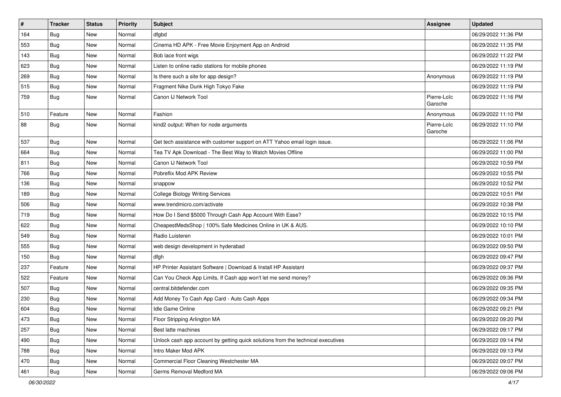| $\vert$ # | <b>Tracker</b> | <b>Status</b> | Priority | <b>Subject</b>                                                                   | Assignee               | <b>Updated</b>      |
|-----------|----------------|---------------|----------|----------------------------------------------------------------------------------|------------------------|---------------------|
| 164       | <b>Bug</b>     | New           | Normal   | dfgbd                                                                            |                        | 06/29/2022 11:36 PM |
| 553       | <b>Bug</b>     | New           | Normal   | Cinema HD APK - Free Movie Enjoyment App on Android                              |                        | 06/29/2022 11:35 PM |
| 143       | Bug            | New           | Normal   | Bob lace front wigs                                                              |                        | 06/29/2022 11:22 PM |
| 623       | <b>Bug</b>     | New           | Normal   | Listen to online radio stations for mobile phones                                |                        | 06/29/2022 11:19 PM |
| 269       | Bug            | New           | Normal   | Is there such a site for app design?                                             | Anonymous              | 06/29/2022 11:19 PM |
| 515       | <b>Bug</b>     | New           | Normal   | Fragment Nike Dunk High Tokyo Fake                                               |                        | 06/29/2022 11:19 PM |
| 759       | <b>Bug</b>     | New           | Normal   | Canon IJ Network Tool                                                            | Pierre-Loïc<br>Garoche | 06/29/2022 11:16 PM |
| 510       | Feature        | New           | Normal   | Fashion                                                                          | Anonymous              | 06/29/2022 11:10 PM |
| 88        | Bug            | New           | Normal   | kind2 output: When for node arguments                                            | Pierre-Loïc<br>Garoche | 06/29/2022 11:10 PM |
| 537       | <b>Bug</b>     | New           | Normal   | Get tech assistance with customer support on ATT Yahoo email login issue.        |                        | 06/29/2022 11:06 PM |
| 664       | Bug            | New           | Normal   | Tea TV Apk Download - The Best Way to Watch Movies Offline                       |                        | 06/29/2022 11:00 PM |
| 811       | <b>Bug</b>     | New           | Normal   | Canon IJ Network Tool                                                            |                        | 06/29/2022 10:59 PM |
| 766       | Bug            | New           | Normal   | Pobreflix Mod APK Review                                                         |                        | 06/29/2022 10:55 PM |
| 136       | Bug            | New           | Normal   | snappow                                                                          |                        | 06/29/2022 10:52 PM |
| 189       | Bug            | New           | Normal   | <b>College Biology Writing Services</b>                                          |                        | 06/29/2022 10:51 PM |
| 506       | <b>Bug</b>     | New           | Normal   | www.trendmicro.com/activate                                                      |                        | 06/29/2022 10:38 PM |
| 719       | <b>Bug</b>     | New           | Normal   | How Do I Send \$5000 Through Cash App Account With Ease?                         |                        | 06/29/2022 10:15 PM |
| 622       | <b>Bug</b>     | New           | Normal   | CheapestMedsShop   100% Safe Medicines Online in UK & AUS.                       |                        | 06/29/2022 10:10 PM |
| 549       | Bug            | New           | Normal   | Radio Luisteren                                                                  |                        | 06/29/2022 10:01 PM |
| 555       | <b>Bug</b>     | New           | Normal   | web design development in hyderabad                                              |                        | 06/29/2022 09:50 PM |
| 150       | <b>Bug</b>     | New           | Normal   | dfgh                                                                             |                        | 06/29/2022 09:47 PM |
| 237       | Feature        | New           | Normal   | HP Printer Assistant Software   Download & Install HP Assistant                  |                        | 06/29/2022 09:37 PM |
| 522       | Feature        | New           | Normal   | Can You Check App Limits, If Cash app won't let me send money?                   |                        | 06/29/2022 09:36 PM |
| 507       | Bug            | New           | Normal   | central.bitdefender.com                                                          |                        | 06/29/2022 09:35 PM |
| 230       | Bug            | New           | Normal   | Add Money To Cash App Card - Auto Cash Apps                                      |                        | 06/29/2022 09:34 PM |
| 604       | <b>Bug</b>     | New           | Normal   | Idle Game Online                                                                 |                        | 06/29/2022 09:21 PM |
| 473       | Bug            | New           | Normal   | Floor Stripping Arlington MA                                                     |                        | 06/29/2022 09:20 PM |
| 257       | <b>Bug</b>     | New           | Normal   | Best latte machines                                                              |                        | 06/29/2022 09:17 PM |
| 490       | Bug            | New           | Normal   | Unlock cash app account by getting quick solutions from the technical executives |                        | 06/29/2022 09:14 PM |
| 788       | <b>Bug</b>     | New           | Normal   | Intro Maker Mod APK                                                              |                        | 06/29/2022 09:13 PM |
| 470       | <b>Bug</b>     | New           | Normal   | Commercial Floor Cleaning Westchester MA                                         |                        | 06/29/2022 09:07 PM |
| 461       | <b>Bug</b>     | New           | Normal   | Germs Removal Medford MA                                                         |                        | 06/29/2022 09:06 PM |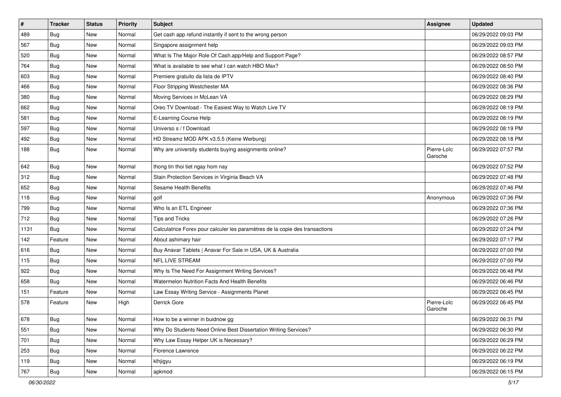| $\vert$ # | <b>Tracker</b> | <b>Status</b> | Priority | <b>Subject</b>                                                               | <b>Assignee</b>        | <b>Updated</b>      |
|-----------|----------------|---------------|----------|------------------------------------------------------------------------------|------------------------|---------------------|
| 489       | <b>Bug</b>     | New           | Normal   | Get cash app refund instantly if sent to the wrong person                    |                        | 06/29/2022 09:03 PM |
| 567       | <b>Bug</b>     | New           | Normal   | Singapore assignment help                                                    |                        | 06/29/2022 09:03 PM |
| 520       | Bug            | New           | Normal   | What Is The Major Role Of Cash.app/Help and Support Page?                    |                        | 06/29/2022 08:57 PM |
| 764       | <b>Bug</b>     | New           | Normal   | What is available to see what I can watch HBO Max?                           |                        | 06/29/2022 08:50 PM |
| 603       | Bug            | New           | Normal   | Premiere gratuito da lista de IPTV                                           |                        | 06/29/2022 08:40 PM |
| 466       | <b>Bug</b>     | New           | Normal   | Floor Stripping Westchester MA                                               |                        | 06/29/2022 08:36 PM |
| 380       | <b>Bug</b>     | New           | Normal   | Moving Services in McLean VA                                                 |                        | 06/29/2022 08:29 PM |
| 662       | <b>Bug</b>     | New           | Normal   | Oreo TV Download - The Easiest Way to Watch Live TV                          |                        | 06/29/2022 08:19 PM |
| 581       | <b>Bug</b>     | New           | Normal   | E-Learning Course Help                                                       |                        | 06/29/2022 08:19 PM |
| 597       | <b>Bug</b>     | New           | Normal   | Universo s / f Download                                                      |                        | 06/29/2022 08:19 PM |
| 492       | <b>Bug</b>     | New           | Normal   | HD Streamz MOD APK v3.5.5 (Keine Werbung)                                    |                        | 06/29/2022 08:18 PM |
| 188       | <b>Bug</b>     | New           | Normal   | Why are university students buying assignments online?                       | Pierre-Loïc<br>Garoche | 06/29/2022 07:57 PM |
| 642       | Bug            | New           | Normal   | thong tin thoi tiet ngay hom nay                                             |                        | 06/29/2022 07:52 PM |
| 312       | <b>Bug</b>     | New           | Normal   | Stain Protection Services in Virginia Beach VA                               |                        | 06/29/2022 07:48 PM |
| 652       | <b>Bug</b>     | New           | Normal   | Sesame Health Benefits                                                       |                        | 06/29/2022 07:46 PM |
| 118       | <b>Bug</b>     | New           | Normal   | golf                                                                         | Anonymous              | 06/29/2022 07:36 PM |
| 799       | Bug            | New           | Normal   | Who Is an ETL Engineer                                                       |                        | 06/29/2022 07:36 PM |
| 712       | Bug            | New           | Normal   | Tips and Tricks                                                              |                        | 06/29/2022 07:26 PM |
| 1131      | Bug            | New           | Normal   | Calculatrice Forex pour calculer les paramètres de la copie des transactions |                        | 06/29/2022 07:24 PM |
| 142       | Feature        | <b>New</b>    | Normal   | About ashimary hair                                                          |                        | 06/29/2022 07:17 PM |
| 616       | Bug            | New           | Normal   | Buy Anavar Tablets   Anavar For Sale in USA, UK & Australia                  |                        | 06/29/2022 07:00 PM |
| 115       | <b>Bug</b>     | New           | Normal   | NFL LIVE STREAM                                                              |                        | 06/29/2022 07:00 PM |
| 922       | <b>Bug</b>     | New           | Normal   | Why Is The Need For Assignment Writing Services?                             |                        | 06/29/2022 06:48 PM |
| 658       | <b>Bug</b>     | New           | Normal   | Watermelon Nutrition Facts And Health Benefits                               |                        | 06/29/2022 06:46 PM |
| 151       | Feature        | New           | Normal   | Law Essay Writing Service - Assignments Planet                               |                        | 06/29/2022 06:45 PM |
| 578       | Feature        | New           | High     | Derrick Gore                                                                 | Pierre-Loïc<br>Garoche | 06/29/2022 06:45 PM |
| 678       | Bug            | New           | Normal   | How to be a winner in buidnow gg                                             |                        | 06/29/2022 06:31 PM |
| 551       | <b>Bug</b>     | New           | Normal   | Why Do Students Need Online Best Dissertation Writing Services?              |                        | 06/29/2022 06:30 PM |
| 701       | Bug            | New           | Normal   | Why Law Essay Helper UK is Necessary?                                        |                        | 06/29/2022 06:29 PM |
| 253       | <b>Bug</b>     | New           | Normal   | Florence Lawrence                                                            |                        | 06/29/2022 06:22 PM |
| 119       | <b>Bug</b>     | New           | Normal   | klhjigyu                                                                     |                        | 06/29/2022 06:19 PM |
| 767       | Bug            | New           | Normal   | apkmod                                                                       |                        | 06/29/2022 06:15 PM |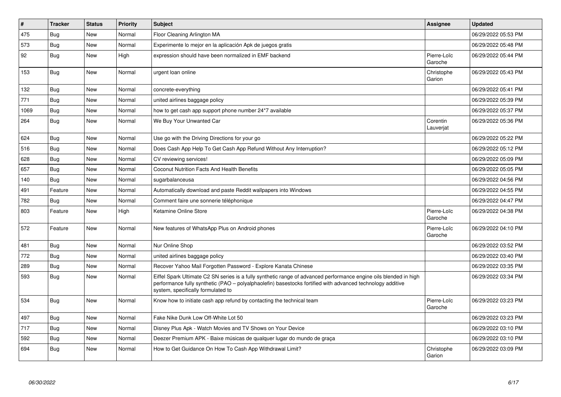| $\pmb{\#}$ | <b>Tracker</b> | <b>Status</b> | <b>Priority</b> | <b>Subject</b>                                                                                                                                                                                                                                                        | <b>Assignee</b>        | <b>Updated</b>      |
|------------|----------------|---------------|-----------------|-----------------------------------------------------------------------------------------------------------------------------------------------------------------------------------------------------------------------------------------------------------------------|------------------------|---------------------|
| 475        | Bug            | <b>New</b>    | Normal          | Floor Cleaning Arlington MA                                                                                                                                                                                                                                           |                        | 06/29/2022 05:53 PM |
| 573        | Bug            | New           | Normal          | Experimente lo mejor en la aplicación Apk de juegos gratis                                                                                                                                                                                                            |                        | 06/29/2022 05:48 PM |
| 92         | Bug            | <b>New</b>    | High            | expression should have been normalized in EMF backend                                                                                                                                                                                                                 | Pierre-Loïc<br>Garoche | 06/29/2022 05:44 PM |
| 153        | Bug            | <b>New</b>    | Normal          | urgent loan online                                                                                                                                                                                                                                                    | Christophe<br>Garion   | 06/29/2022 05:43 PM |
| 132        | Bug            | <b>New</b>    | Normal          | concrete-everything                                                                                                                                                                                                                                                   |                        | 06/29/2022 05:41 PM |
| 771        | Bug            | New           | Normal          | united airlines baggage policy                                                                                                                                                                                                                                        |                        | 06/29/2022 05:39 PM |
| 1069       | Bug            | New           | Normal          | how to get cash app support phone number 24*7 available                                                                                                                                                                                                               |                        | 06/29/2022 05:37 PM |
| 264        | <b>Bug</b>     | New           | Normal          | We Buy Your Unwanted Car                                                                                                                                                                                                                                              | Corentin<br>Lauverjat  | 06/29/2022 05:36 PM |
| 624        | Bug            | <b>New</b>    | Normal          | Use go with the Driving Directions for your go                                                                                                                                                                                                                        |                        | 06/29/2022 05:22 PM |
| 516        | <b>Bug</b>     | New           | Normal          | Does Cash App Help To Get Cash App Refund Without Any Interruption?                                                                                                                                                                                                   |                        | 06/29/2022 05:12 PM |
| 628        | Bug            | New           | Normal          | CV reviewing services!                                                                                                                                                                                                                                                |                        | 06/29/2022 05:09 PM |
| 657        | Bug            | New           | Normal          | <b>Coconut Nutrition Facts And Health Benefits</b>                                                                                                                                                                                                                    |                        | 06/29/2022 05:05 PM |
| 140        | Bug            | New           | Normal          | sugarbalanceusa                                                                                                                                                                                                                                                       |                        | 06/29/2022 04:56 PM |
| 491        | Feature        | New           | Normal          | Automatically download and paste Reddit wallpapers into Windows                                                                                                                                                                                                       |                        | 06/29/2022 04:55 PM |
| 782        | <b>Bug</b>     | <b>New</b>    | Normal          | Comment faire une sonnerie téléphonique                                                                                                                                                                                                                               |                        | 06/29/2022 04:47 PM |
| 803        | Feature        | New           | High            | Ketamine Online Store                                                                                                                                                                                                                                                 | Pierre-Loïc<br>Garoche | 06/29/2022 04:38 PM |
| 572        | Feature        | <b>New</b>    | Normal          | New features of WhatsApp Plus on Android phones                                                                                                                                                                                                                       | Pierre-Loïc<br>Garoche | 06/29/2022 04:10 PM |
| 481        | Bug            | <b>New</b>    | Normal          | Nur Online Shop                                                                                                                                                                                                                                                       |                        | 06/29/2022 03:52 PM |
| 772        | Bug            | New           | Normal          | united airlines baggage policy                                                                                                                                                                                                                                        |                        | 06/29/2022 03:40 PM |
| 289        | Bug            | New           | Normal          | Recover Yahoo Mail Forgotten Password - Explore Kanata Chinese                                                                                                                                                                                                        |                        | 06/29/2022 03:35 PM |
| 593        | <b>Bug</b>     | New           | Normal          | Eiffel Spark Ultimate C2 SN series is a fully synthetic range of advanced performance engine oils blended in high<br>performance fully synthetic (PAO – polyalphaolefin) basestocks fortified with advanced technology additive<br>system, specifically formulated to |                        | 06/29/2022 03:34 PM |
| 534        | Bug            | <b>New</b>    | Normal          | Know how to initiate cash app refund by contacting the technical team                                                                                                                                                                                                 | Pierre-Loïc<br>Garoche | 06/29/2022 03:23 PM |
| 497        | Bug            | <b>New</b>    | Normal          | Fake Nike Dunk Low Off-White Lot 50                                                                                                                                                                                                                                   |                        | 06/29/2022 03:23 PM |
| 717        | <b>Bug</b>     | New           | Normal          | Disney Plus Apk - Watch Movies and TV Shows on Your Device                                                                                                                                                                                                            |                        | 06/29/2022 03:10 PM |
| 592        | Bug            | New           | Normal          | Deezer Premium APK - Baixe músicas de qualquer lugar do mundo de graça                                                                                                                                                                                                |                        | 06/29/2022 03:10 PM |
| 694        | Bug            | New           | Normal          | How to Get Guidance On How To Cash App Withdrawal Limit?                                                                                                                                                                                                              | Christophe<br>Garion   | 06/29/2022 03:09 PM |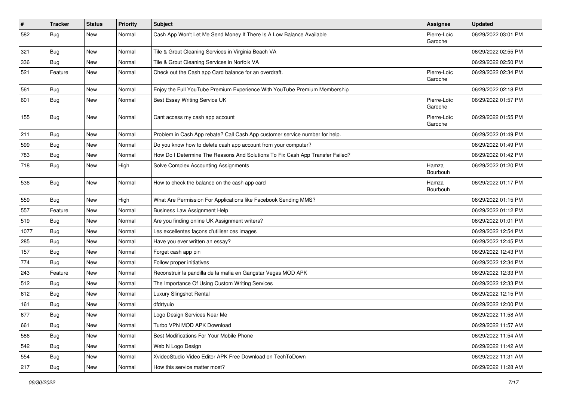| $\vert$ # | <b>Tracker</b> | <b>Status</b> | <b>Priority</b> | Subject                                                                       | Assignee               | <b>Updated</b>      |
|-----------|----------------|---------------|-----------------|-------------------------------------------------------------------------------|------------------------|---------------------|
| 582       | Bug            | New           | Normal          | Cash App Won't Let Me Send Money If There Is A Low Balance Available          | Pierre-Loïc<br>Garoche | 06/29/2022 03:01 PM |
| 321       | <b>Bug</b>     | New           | Normal          | Tile & Grout Cleaning Services in Virginia Beach VA                           |                        | 06/29/2022 02:55 PM |
| 336       | <b>Bug</b>     | New           | Normal          | Tile & Grout Cleaning Services in Norfolk VA                                  |                        | 06/29/2022 02:50 PM |
| 521       | Feature        | New           | Normal          | Check out the Cash app Card balance for an overdraft.                         | Pierre-Loïc<br>Garoche | 06/29/2022 02:34 PM |
| 561       | Bug            | New           | Normal          | Enjoy the Full YouTube Premium Experience With YouTube Premium Membership     |                        | 06/29/2022 02:18 PM |
| 601       | Bug            | New           | Normal          | Best Essay Writing Service UK                                                 | Pierre-Loïc<br>Garoche | 06/29/2022 01:57 PM |
| 155       | Bug            | New           | Normal          | Cant access my cash app account                                               | Pierre-Loïc<br>Garoche | 06/29/2022 01:55 PM |
| 211       | <b>Bug</b>     | New           | Normal          | Problem in Cash App rebate? Call Cash App customer service number for help.   |                        | 06/29/2022 01:49 PM |
| 599       | <b>Bug</b>     | New           | Normal          | Do you know how to delete cash app account from your computer?                |                        | 06/29/2022 01:49 PM |
| 783       | <b>Bug</b>     | New           | Normal          | How Do I Determine The Reasons And Solutions To Fix Cash App Transfer Failed? |                        | 06/29/2022 01:42 PM |
| 718       | <b>Bug</b>     | New           | High            | Solve Complex Accounting Assignments                                          | Hamza<br>Bourbouh      | 06/29/2022 01:20 PM |
| 536       | Bug            | New           | Normal          | How to check the balance on the cash app card                                 | Hamza<br>Bourbouh      | 06/29/2022 01:17 PM |
| 559       | Bug            | New           | High            | What Are Permission For Applications like Facebook Sending MMS?               |                        | 06/29/2022 01:15 PM |
| 557       | Feature        | New           | Normal          | <b>Business Law Assignment Help</b>                                           |                        | 06/29/2022 01:12 PM |
| 519       | <b>Bug</b>     | New           | Normal          | Are you finding online UK Assignment writers?                                 |                        | 06/29/2022 01:01 PM |
| 1077      | <b>Bug</b>     | New           | Normal          | Les excellentes façons d'utiliser ces images                                  |                        | 06/29/2022 12:54 PM |
| 285       | <b>Bug</b>     | New           | Normal          | Have you ever written an essay?                                               |                        | 06/29/2022 12:45 PM |
| 157       | Bug            | New           | Normal          | Forget cash app pin                                                           |                        | 06/29/2022 12:43 PM |
| 774       | Bug            | New           | Normal          | Follow proper initiatives                                                     |                        | 06/29/2022 12:34 PM |
| 243       | Feature        | New           | Normal          | Reconstruir la pandilla de la mafia en Gangstar Vegas MOD APK                 |                        | 06/29/2022 12:33 PM |
| 512       | Bug            | New           | Normal          | The Importance Of Using Custom Writing Services                               |                        | 06/29/2022 12:33 PM |
| 612       | Bug            | New           | Normal          | Luxury Slingshot Rental                                                       |                        | 06/29/2022 12:15 PM |
| 161       | <b>Bug</b>     | New           | Normal          | dfdrtyuio                                                                     |                        | 06/29/2022 12:00 PM |
| 677       | <b>Bug</b>     | New           | Normal          | Logo Design Services Near Me                                                  |                        | 06/29/2022 11:58 AM |
| 661       | Bug            | New           | Normal          | Turbo VPN MOD APK Download                                                    |                        | 06/29/2022 11:57 AM |
| 586       | <b>Bug</b>     | New           | Normal          | Best Modifications For Your Mobile Phone                                      |                        | 06/29/2022 11:54 AM |
| 542       | <b>Bug</b>     | New           | Normal          | Web N Logo Design                                                             |                        | 06/29/2022 11:42 AM |
| 554       | <b>Bug</b>     | New           | Normal          | XvideoStudio Video Editor APK Free Download on TechToDown                     |                        | 06/29/2022 11:31 AM |
| 217       | Bug            | New           | Normal          | How this service matter most?                                                 |                        | 06/29/2022 11:28 AM |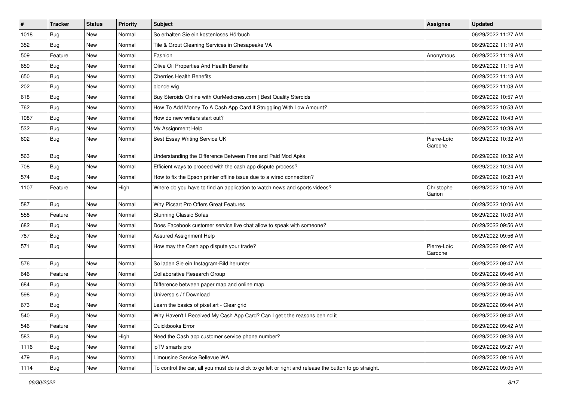| $\pmb{\#}$ | <b>Tracker</b> | <b>Status</b> | Priority | <b>Subject</b>                                                                                          | <b>Assignee</b>        | <b>Updated</b>      |
|------------|----------------|---------------|----------|---------------------------------------------------------------------------------------------------------|------------------------|---------------------|
| 1018       | <b>Bug</b>     | New           | Normal   | So erhalten Sie ein kostenloses Hörbuch                                                                 |                        | 06/29/2022 11:27 AM |
| 352        | Bug            | New           | Normal   | Tile & Grout Cleaning Services in Chesapeake VA                                                         |                        | 06/29/2022 11:19 AM |
| 509        | Feature        | New           | Normal   | Fashion                                                                                                 | Anonymous              | 06/29/2022 11:19 AM |
| 659        | Bug            | New           | Normal   | Olive Oil Properties And Health Benefits                                                                |                        | 06/29/2022 11:15 AM |
| 650        | Bug            | New           | Normal   | <b>Cherries Health Benefits</b>                                                                         |                        | 06/29/2022 11:13 AM |
| 202        | <b>Bug</b>     | New           | Normal   | blonde wig                                                                                              |                        | 06/29/2022 11:08 AM |
| 618        | <b>Bug</b>     | New           | Normal   | Buy Steroids Online with OurMedicnes.com   Best Quality Steroids                                        |                        | 06/29/2022 10:57 AM |
| 762        | <b>Bug</b>     | New           | Normal   | How To Add Money To A Cash App Card If Struggling With Low Amount?                                      |                        | 06/29/2022 10:53 AM |
| 1087       | Bug            | New           | Normal   | How do new writers start out?                                                                           |                        | 06/29/2022 10:43 AM |
| 532        | Bug            | New           | Normal   | My Assignment Help                                                                                      |                        | 06/29/2022 10:39 AM |
| 602        | <b>Bug</b>     | New           | Normal   | Best Essay Writing Service UK                                                                           | Pierre-Loïc<br>Garoche | 06/29/2022 10:32 AM |
| 563        | Bug            | New           | Normal   | Understanding the Difference Between Free and Paid Mod Apks                                             |                        | 06/29/2022 10:32 AM |
| 708        | Bug            | New           | Normal   | Efficient ways to proceed with the cash app dispute process?                                            |                        | 06/29/2022 10:24 AM |
| 574        | <b>Bug</b>     | New           | Normal   | How to fix the Epson printer offline issue due to a wired connection?                                   |                        | 06/29/2022 10:23 AM |
| 1107       | Feature        | New           | High     | Where do you have to find an application to watch news and sports videos?                               | Christophe<br>Garion   | 06/29/2022 10:16 AM |
| 587        | <b>Bug</b>     | New           | Normal   | Why Picsart Pro Offers Great Features                                                                   |                        | 06/29/2022 10:06 AM |
| 558        | Feature        | New           | Normal   | <b>Stunning Classic Sofas</b>                                                                           |                        | 06/29/2022 10:03 AM |
| 682        | Bug            | New           | Normal   | Does Facebook customer service live chat allow to speak with someone?                                   |                        | 06/29/2022 09:56 AM |
| 787        | Bug            | New           | Normal   | Assured Assignment Help                                                                                 |                        | 06/29/2022 09:56 AM |
| 571        | <b>Bug</b>     | New           | Normal   | How may the Cash app dispute your trade?                                                                | Pierre-Loïc<br>Garoche | 06/29/2022 09:47 AM |
| 576        | Bug            | New           | Normal   | So laden Sie ein Instagram-Bild herunter                                                                |                        | 06/29/2022 09:47 AM |
| 646        | Feature        | New           | Normal   | Collaborative Research Group                                                                            |                        | 06/29/2022 09:46 AM |
| 684        | Bug            | New           | Normal   | Difference between paper map and online map                                                             |                        | 06/29/2022 09:46 AM |
| 598        | Bug            | New           | Normal   | Universo s / f Download                                                                                 |                        | 06/29/2022 09:45 AM |
| 673        | <b>Bug</b>     | New           | Normal   | Learn the basics of pixel art - Clear grid                                                              |                        | 06/29/2022 09:44 AM |
| 540        | Bug            | New           | Normal   | Why Haven't I Received My Cash App Card? Can I get t the reasons behind it                              |                        | 06/29/2022 09:42 AM |
| 546        | Feature        | New           | Normal   | Quickbooks Error                                                                                        |                        | 06/29/2022 09:42 AM |
| 583        | Bug            | New           | High     | Need the Cash app customer service phone number?                                                        |                        | 06/29/2022 09:28 AM |
| 1116       | <b>Bug</b>     | New           | Normal   | ipTV smarts pro                                                                                         |                        | 06/29/2022 09:27 AM |
| 479        | <b>Bug</b>     | New           | Normal   | Limousine Service Bellevue WA                                                                           |                        | 06/29/2022 09:16 AM |
| 1114       | Bug            | New           | Normal   | To control the car, all you must do is click to go left or right and release the button to go straight. |                        | 06/29/2022 09:05 AM |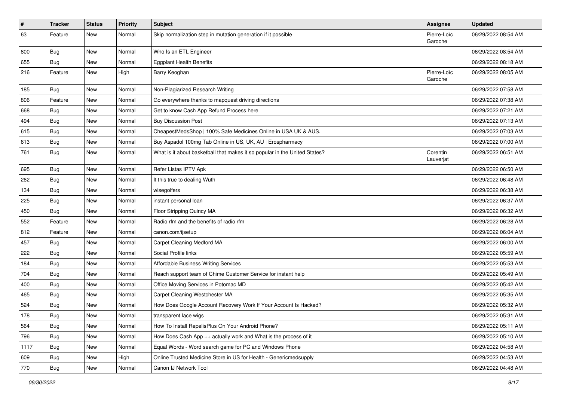| #    | <b>Tracker</b> | <b>Status</b> | <b>Priority</b> | Subject                                                                    | <b>Assignee</b>        | <b>Updated</b>      |
|------|----------------|---------------|-----------------|----------------------------------------------------------------------------|------------------------|---------------------|
| 63   | Feature        | New           | Normal          | Skip normalization step in mutation generation if it possible              | Pierre-Loïc<br>Garoche | 06/29/2022 08:54 AM |
| 800  | <b>Bug</b>     | New           | Normal          | Who Is an ETL Engineer                                                     |                        | 06/29/2022 08:54 AM |
| 655  | <b>Bug</b>     | New           | Normal          | <b>Eggplant Health Benefits</b>                                            |                        | 06/29/2022 08:18 AM |
| 216  | Feature        | New           | High            | Barry Keoghan                                                              | Pierre-Loïc<br>Garoche | 06/29/2022 08:05 AM |
| 185  | Bug            | New           | Normal          | Non-Plagiarized Research Writing                                           |                        | 06/29/2022 07:58 AM |
| 806  | Feature        | New           | Normal          | Go everywhere thanks to mapquest driving directions                        |                        | 06/29/2022 07:38 AM |
| 668  | <b>Bug</b>     | New           | Normal          | Get to know Cash App Refund Process here                                   |                        | 06/29/2022 07:21 AM |
| 494  | Bug            | New           | Normal          | <b>Buy Discussion Post</b>                                                 |                        | 06/29/2022 07:13 AM |
| 615  | <b>Bug</b>     | New           | Normal          | CheapestMedsShop   100% Safe Medicines Online in USA UK & AUS.             |                        | 06/29/2022 07:03 AM |
| 613  | <b>Bug</b>     | New           | Normal          | Buy Aspadol 100mg Tab Online in US, UK, AU   Erospharmacy                  |                        | 06/29/2022 07:00 AM |
| 761  | <b>Bug</b>     | New           | Normal          | What is it about basketball that makes it so popular in the United States? | Corentin<br>Lauverjat  | 06/29/2022 06:51 AM |
| 695  | Bug            | New           | Normal          | Refer Listas IPTV Apk                                                      |                        | 06/29/2022 06:50 AM |
| 262  | <b>Bug</b>     | New           | Normal          | It this true to dealing Wuth                                               |                        | 06/29/2022 06:48 AM |
| 134  | Bug            | New           | Normal          | wisegolfers                                                                |                        | 06/29/2022 06:38 AM |
| 225  | Bug            | New           | Normal          | instant personal loan                                                      |                        | 06/29/2022 06:37 AM |
| 450  | <b>Bug</b>     | New           | Normal          | Floor Stripping Quincy MA                                                  |                        | 06/29/2022 06:32 AM |
| 552  | Feature        | New           | Normal          | Radio rfm and the benefits of radio rfm                                    |                        | 06/29/2022 06:28 AM |
| 812  | Feature        | New           | Normal          | canon.com/ijsetup                                                          |                        | 06/29/2022 06:04 AM |
| 457  | <b>Bug</b>     | New           | Normal          | Carpet Cleaning Medford MA                                                 |                        | 06/29/2022 06:00 AM |
| 222  | Bug            | New           | Normal          | Social Profile links                                                       |                        | 06/29/2022 05:59 AM |
| 184  | <b>Bug</b>     | New           | Normal          | <b>Affordable Business Writing Services</b>                                |                        | 06/29/2022 05:53 AM |
| 704  | Bug            | New           | Normal          | Reach support team of Chime Customer Service for instant help              |                        | 06/29/2022 05:49 AM |
| 400  | Bug            | New           | Normal          | Office Moving Services in Potomac MD                                       |                        | 06/29/2022 05:42 AM |
| 465  | <b>Bug</b>     | New           | Normal          | Carpet Cleaning Westchester MA                                             |                        | 06/29/2022 05:35 AM |
| 524  | <b>Bug</b>     | New           | Normal          | How Does Google Account Recovery Work If Your Account Is Hacked?           |                        | 06/29/2022 05:32 AM |
| 178  | Bug            | New           | Normal          | transparent lace wigs                                                      |                        | 06/29/2022 05:31 AM |
| 564  | Bug            | New           | Normal          | How To Install RepelisPlus On Your Android Phone?                          |                        | 06/29/2022 05:11 AM |
| 796  | Bug            | New           | Normal          | How Does Cash App ++ actually work and What is the process of it           |                        | 06/29/2022 05:10 AM |
| 1117 | Bug            | New           | Normal          | Equal Words - Word search game for PC and Windows Phone                    |                        | 06/29/2022 04:58 AM |
| 609  | <b>Bug</b>     | New           | High            | Online Trusted Medicine Store in US for Health - Genericmedsupply          |                        | 06/29/2022 04:53 AM |
| 770  | Bug            | New           | Normal          | Canon IJ Network Tool                                                      |                        | 06/29/2022 04:48 AM |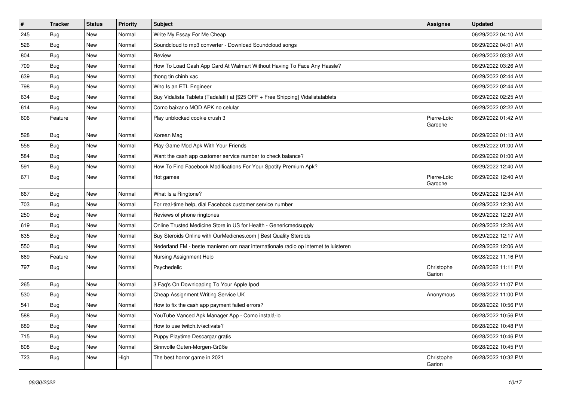| $\vert$ # | <b>Tracker</b> | <b>Status</b> | Priority | <b>Subject</b>                                                                      | <b>Assignee</b>        | <b>Updated</b>      |
|-----------|----------------|---------------|----------|-------------------------------------------------------------------------------------|------------------------|---------------------|
| 245       | <b>Bug</b>     | New           | Normal   | Write My Essay For Me Cheap                                                         |                        | 06/29/2022 04:10 AM |
| 526       | <b>Bug</b>     | New           | Normal   | Soundcloud to mp3 converter - Download Soundcloud songs                             |                        | 06/29/2022 04:01 AM |
| 804       | <b>Bug</b>     | New           | Normal   | Review                                                                              |                        | 06/29/2022 03:32 AM |
| 709       | <b>Bug</b>     | New           | Normal   | How To Load Cash App Card At Walmart Without Having To Face Any Hassle?             |                        | 06/29/2022 03:26 AM |
| 639       | <b>Bug</b>     | New           | Normal   | thong tin chinh xac                                                                 |                        | 06/29/2022 02:44 AM |
| 798       | Bug            | New           | Normal   | Who Is an ETL Engineer                                                              |                        | 06/29/2022 02:44 AM |
| 634       | <b>Bug</b>     | New           | Normal   | Buy Vidalista Tablets (Tadalafil) at [\$25 OFF + Free Shipping] Vidalistatablets    |                        | 06/29/2022 02:25 AM |
| 614       | <b>Bug</b>     | New           | Normal   | Como baixar o MOD APK no celular                                                    |                        | 06/29/2022 02:22 AM |
| 606       | Feature        | New           | Normal   | Play unblocked cookie crush 3                                                       | Pierre-Loïc<br>Garoche | 06/29/2022 01:42 AM |
| 528       | Bug            | New           | Normal   | Korean Mag                                                                          |                        | 06/29/2022 01:13 AM |
| 556       | <b>Bug</b>     | New           | Normal   | Play Game Mod Apk With Your Friends                                                 |                        | 06/29/2022 01:00 AM |
| 584       | Bug            | New           | Normal   | Want the cash app customer service number to check balance?                         |                        | 06/29/2022 01:00 AM |
| 591       | <b>Bug</b>     | New           | Normal   | How To Find Facebook Modifications For Your Spotify Premium Apk?                    |                        | 06/29/2022 12:40 AM |
| 671       | <b>Bug</b>     | New           | Normal   | Hot games                                                                           | Pierre-Loïc<br>Garoche | 06/29/2022 12:40 AM |
| 667       | <b>Bug</b>     | New           | Normal   | What Is a Ringtone?                                                                 |                        | 06/29/2022 12:34 AM |
| 703       | <b>Bug</b>     | New           | Normal   | For real-time help, dial Facebook customer service number                           |                        | 06/29/2022 12:30 AM |
| 250       | <b>Bug</b>     | New           | Normal   | Reviews of phone ringtones                                                          |                        | 06/29/2022 12:29 AM |
| 619       | Bug            | New           | Normal   | Online Trusted Medicine Store in US for Health - Genericmedsupply                   |                        | 06/29/2022 12:26 AM |
| 635       | Bug            | New           | Normal   | Buy Steroids Online with OurMedicnes.com   Best Quality Steroids                    |                        | 06/29/2022 12:17 AM |
| 550       | <b>Bug</b>     | New           | Normal   | Nederland FM - beste manieren om naar internationale radio op internet te luisteren |                        | 06/29/2022 12:06 AM |
| 669       | Feature        | New           | Normal   | Nursing Assignment Help                                                             |                        | 06/28/2022 11:16 PM |
| 797       | Bug            | New           | Normal   | Psychedelic                                                                         | Christophe<br>Garion   | 06/28/2022 11:11 PM |
| 265       | Bug            | New           | Normal   | 3 Faq's On Downloading To Your Apple Ipod                                           |                        | 06/28/2022 11:07 PM |
| 530       | <b>Bug</b>     | New           | Normal   | Cheap Assignment Writing Service UK                                                 | Anonymous              | 06/28/2022 11:00 PM |
| 541       | <b>Bug</b>     | New           | Normal   | How to fix the cash app payment failed errors?                                      |                        | 06/28/2022 10:56 PM |
| 588       | <b>Bug</b>     | New           | Normal   | YouTube Vanced Apk Manager App - Como instalá-lo                                    |                        | 06/28/2022 10:56 PM |
| 689       | Bug            | New           | Normal   | How to use twitch.tv/activate?                                                      |                        | 06/28/2022 10:48 PM |
| 715       | Bug            | New           | Normal   | Puppy Playtime Descargar gratis                                                     |                        | 06/28/2022 10:46 PM |
| 808       | <b>Bug</b>     | New           | Normal   | Sinnvolle Guten-Morgen-Grüße                                                        |                        | 06/28/2022 10:45 PM |
| 723       | <b>Bug</b>     | New           | High     | The best horror game in 2021                                                        | Christophe<br>Garion   | 06/28/2022 10:32 PM |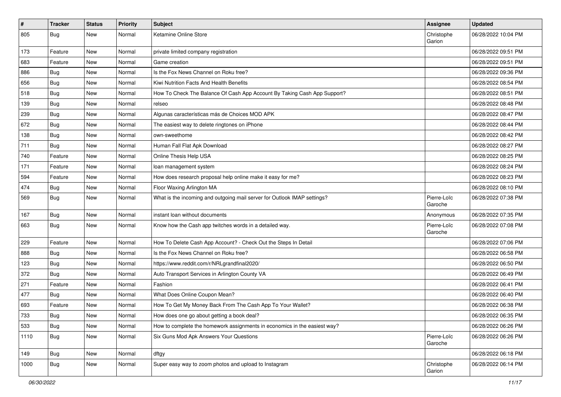| $\vert$ # | Tracker    | <b>Status</b> | <b>Priority</b> | <b>Subject</b>                                                            | <b>Assignee</b>        | <b>Updated</b>      |
|-----------|------------|---------------|-----------------|---------------------------------------------------------------------------|------------------------|---------------------|
| 805       | <b>Bug</b> | New           | Normal          | Ketamine Online Store                                                     | Christophe<br>Garion   | 06/28/2022 10:04 PM |
| 173       | Feature    | New           | Normal          | private limited company registration                                      |                        | 06/28/2022 09:51 PM |
| 683       | Feature    | New           | Normal          | Game creation                                                             |                        | 06/28/2022 09:51 PM |
| 886       | Bug        | New           | Normal          | Is the Fox News Channel on Roku free?                                     |                        | 06/28/2022 09:36 PM |
| 656       | <b>Bug</b> | New           | Normal          | Kiwi Nutrition Facts And Health Benefits                                  |                        | 06/28/2022 08:54 PM |
| 518       | <b>Bug</b> | New           | Normal          | How To Check The Balance Of Cash App Account By Taking Cash App Support?  |                        | 06/28/2022 08:51 PM |
| 139       | <b>Bug</b> | New           | Normal          | relseo                                                                    |                        | 06/28/2022 08:48 PM |
| 239       | <b>Bug</b> | New           | Normal          | Algunas características más de Choices MOD APK                            |                        | 06/28/2022 08:47 PM |
| 672       | <b>Bug</b> | New           | Normal          | The easiest way to delete ringtones on iPhone                             |                        | 06/28/2022 08:44 PM |
| 138       | Bug        | New           | Normal          | own-sweethome                                                             |                        | 06/28/2022 08:42 PM |
| 711       | <b>Bug</b> | New           | Normal          | Human Fall Flat Apk Download                                              |                        | 06/28/2022 08:27 PM |
| 740       | Feature    | New           | Normal          | Online Thesis Help USA                                                    |                        | 06/28/2022 08:25 PM |
| 171       | Feature    | New           | Normal          | loan management system                                                    |                        | 06/28/2022 08:24 PM |
| 594       | Feature    | New           | Normal          | How does research proposal help online make it easy for me?               |                        | 06/28/2022 08:23 PM |
| 474       | <b>Bug</b> | New           | Normal          | Floor Waxing Arlington MA                                                 |                        | 06/28/2022 08:10 PM |
| 569       | <b>Bug</b> | New           | Normal          | What is the incoming and outgoing mail server for Outlook IMAP settings?  | Pierre-Loïc<br>Garoche | 06/28/2022 07:38 PM |
| 167       | Bug        | New           | Normal          | instant loan without documents                                            | Anonymous              | 06/28/2022 07:35 PM |
| 663       | <b>Bug</b> | New           | Normal          | Know how the Cash app twitches words in a detailed way.                   | Pierre-Loïc<br>Garoche | 06/28/2022 07:08 PM |
| 229       | Feature    | New           | Normal          | How To Delete Cash App Account? - Check Out the Steps In Detail           |                        | 06/28/2022 07:06 PM |
| 888       | <b>Bug</b> | New           | Normal          | Is the Fox News Channel on Roku free?                                     |                        | 06/28/2022 06:58 PM |
| 123       | <b>Bug</b> | New           | Normal          | https://www.reddit.com/r/NRLgrandfinal2020/                               |                        | 06/28/2022 06:50 PM |
| 372       | <b>Bug</b> | New           | Normal          | Auto Transport Services in Arlington County VA                            |                        | 06/28/2022 06:49 PM |
| 271       | Feature    | New           | Normal          | Fashion                                                                   |                        | 06/28/2022 06:41 PM |
| 477       | Bug        | New           | Normal          | What Does Online Coupon Mean?                                             |                        | 06/28/2022 06:40 PM |
| 693       | Feature    | New           | Normal          | How To Get My Money Back From The Cash App To Your Wallet?                |                        | 06/28/2022 06:38 PM |
| 733       | Bug        | New           | Normal          | How does one go about getting a book deal?                                |                        | 06/28/2022 06:35 PM |
| 533       | <b>Bug</b> | New           | Normal          | How to complete the homework assignments in economics in the easiest way? |                        | 06/28/2022 06:26 PM |
| 1110      | <b>Bug</b> | New           | Normal          | Six Guns Mod Apk Answers Your Questions                                   | Pierre-Loïc<br>Garoche | 06/28/2022 06:26 PM |
| 149       | <b>Bug</b> | New           | Normal          | dftgy                                                                     |                        | 06/28/2022 06:18 PM |
| 1000      | <b>Bug</b> | New           | Normal          | Super easy way to zoom photos and upload to Instagram                     | Christophe<br>Garion   | 06/28/2022 06:14 PM |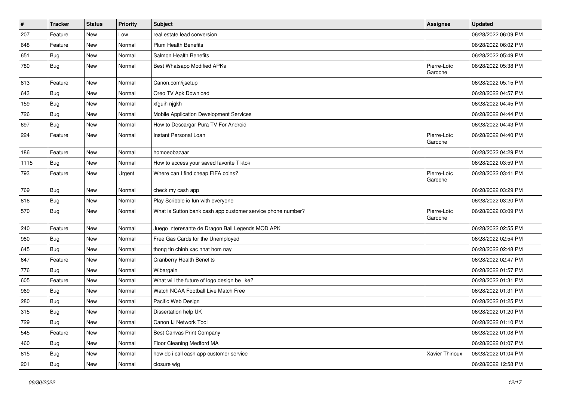| $\vert$ # | <b>Tracker</b> | <b>Status</b> | <b>Priority</b> | Subject                                                     | <b>Assignee</b>        | <b>Updated</b>      |
|-----------|----------------|---------------|-----------------|-------------------------------------------------------------|------------------------|---------------------|
| 207       | Feature        | New           | Low             | real estate lead conversion                                 |                        | 06/28/2022 06:09 PM |
| 648       | Feature        | New           | Normal          | <b>Plum Health Benefits</b>                                 |                        | 06/28/2022 06:02 PM |
| 651       | <b>Bug</b>     | New           | Normal          | Salmon Health Benefits                                      |                        | 06/28/2022 05:49 PM |
| 780       | <b>Bug</b>     | New           | Normal          | Best Whatsapp Modified APKs                                 | Pierre-Loïc<br>Garoche | 06/28/2022 05:38 PM |
| 813       | Feature        | New           | Normal          | Canon.com/ijsetup                                           |                        | 06/28/2022 05:15 PM |
| 643       | <b>Bug</b>     | New           | Normal          | Oreo TV Apk Download                                        |                        | 06/28/2022 04:57 PM |
| 159       | Bug            | New           | Normal          | xfguih njgkh                                                |                        | 06/28/2022 04:45 PM |
| 726       | <b>Bug</b>     | New           | Normal          | Mobile Application Development Services                     |                        | 06/28/2022 04:44 PM |
| 697       | Bug            | New           | Normal          | How to Descargar Pura TV For Android                        |                        | 06/28/2022 04:43 PM |
| 224       | Feature        | New           | Normal          | Instant Personal Loan                                       | Pierre-Loïc<br>Garoche | 06/28/2022 04:40 PM |
| 186       | Feature        | New           | Normal          | homoeobazaar                                                |                        | 06/28/2022 04:29 PM |
| 1115      | Bug            | New           | Normal          | How to access your saved favorite Tiktok                    |                        | 06/28/2022 03:59 PM |
| 793       | Feature        | New           | Urgent          | Where can I find cheap FIFA coins?                          | Pierre-Loïc<br>Garoche | 06/28/2022 03:41 PM |
| 769       | <b>Bug</b>     | New           | Normal          | check my cash app                                           |                        | 06/28/2022 03:29 PM |
| 816       | Bug            | New           | Normal          | Play Scribble io fun with everyone                          |                        | 06/28/2022 03:20 PM |
| 570       | Bug            | New           | Normal          | What is Sutton bank cash app customer service phone number? | Pierre-Loïc<br>Garoche | 06/28/2022 03:09 PM |
| 240       | Feature        | New           | Normal          | Juego interesante de Dragon Ball Legends MOD APK            |                        | 06/28/2022 02:55 PM |
| 980       | Bug            | New           | Normal          | Free Gas Cards for the Unemployed                           |                        | 06/28/2022 02:54 PM |
| 645       | <b>Bug</b>     | New           | Normal          | thong tin chinh xac nhat hom nay                            |                        | 06/28/2022 02:48 PM |
| 647       | Feature        | New           | Normal          | <b>Cranberry Health Benefits</b>                            |                        | 06/28/2022 02:47 PM |
| 776       | <b>Bug</b>     | New           | Normal          | Wibargain                                                   |                        | 06/28/2022 01:57 PM |
| 605       | Feature        | New           | Normal          | What will the future of logo design be like?                |                        | 06/28/2022 01:31 PM |
| 969       | Bug            | New           | Normal          | Watch NCAA Football Live Match Free                         |                        | 06/28/2022 01:31 PM |
| 280       | Bug            | New           | Normal          | Pacific Web Design                                          |                        | 06/28/2022 01:25 PM |
| 315       | Bug            | New           | Normal          | Dissertation help UK                                        |                        | 06/28/2022 01:20 PM |
| 729       | Bug            | New           | Normal          | Canon IJ Network Tool                                       |                        | 06/28/2022 01:10 PM |
| 545       | Feature        | New           | Normal          | Best Canvas Print Company                                   |                        | 06/28/2022 01:08 PM |
| 460       | Bug            | New           | Normal          | Floor Cleaning Medford MA                                   |                        | 06/28/2022 01:07 PM |
| 815       | <b>Bug</b>     | New           | Normal          | how do i call cash app customer service                     | Xavier Thirioux        | 06/28/2022 01:04 PM |
| 201       | <b>Bug</b>     | New           | Normal          | closure wig                                                 |                        | 06/28/2022 12:58 PM |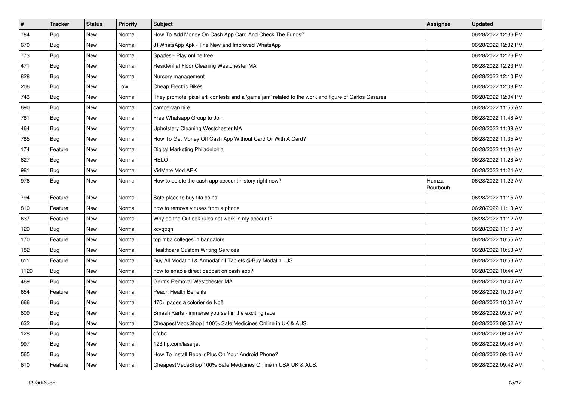| $\vert$ # | <b>Tracker</b> | <b>Status</b> | <b>Priority</b> | <b>Subject</b>                                                                                      | Assignee          | <b>Updated</b>      |
|-----------|----------------|---------------|-----------------|-----------------------------------------------------------------------------------------------------|-------------------|---------------------|
| 784       | <b>Bug</b>     | New           | Normal          | How To Add Money On Cash App Card And Check The Funds?                                              |                   | 06/28/2022 12:36 PM |
| 670       | Bug            | New           | Normal          | JTWhatsApp Apk - The New and Improved WhatsApp                                                      |                   | 06/28/2022 12:32 PM |
| 773       | <b>Bug</b>     | New           | Normal          | Spades - Play online free                                                                           |                   | 06/28/2022 12:26 PM |
| 471       | <b>Bug</b>     | New           | Normal          | Residential Floor Cleaning Westchester MA                                                           |                   | 06/28/2022 12:23 PM |
| 828       | Bug            | New           | Normal          | Nursery management                                                                                  |                   | 06/28/2022 12:10 PM |
| 206       | <b>Bug</b>     | New           | Low             | <b>Cheap Electric Bikes</b>                                                                         |                   | 06/28/2022 12:08 PM |
| 743       | <b>Bug</b>     | New           | Normal          | They promote 'pixel art' contests and a 'game jam' related to the work and figure of Carlos Casares |                   | 06/28/2022 12:04 PM |
| 690       | <b>Bug</b>     | New           | Normal          | campervan hire                                                                                      |                   | 06/28/2022 11:55 AM |
| 781       | <b>Bug</b>     | New           | Normal          | Free Whatsapp Group to Join                                                                         |                   | 06/28/2022 11:48 AM |
| 464       | Bug            | New           | Normal          | Upholstery Cleaning Westchester MA                                                                  |                   | 06/28/2022 11:39 AM |
| 785       | <b>Bug</b>     | New           | Normal          | How To Get Money Off Cash App Without Card Or With A Card?                                          |                   | 06/28/2022 11:35 AM |
| 174       | Feature        | New           | Normal          | Digital Marketing Philadelphia                                                                      |                   | 06/28/2022 11:34 AM |
| 627       | Bug            | New           | Normal          | <b>HELO</b>                                                                                         |                   | 06/28/2022 11:28 AM |
| 981       | <b>Bug</b>     | New           | Normal          | VidMate Mod APK                                                                                     |                   | 06/28/2022 11:24 AM |
| 976       | Bug            | New           | Normal          | How to delete the cash app account history right now?                                               | Hamza<br>Bourbouh | 06/28/2022 11:22 AM |
| 794       | Feature        | New           | Normal          | Safe place to buy fifa coins                                                                        |                   | 06/28/2022 11:15 AM |
| 810       | Feature        | New           | Normal          | how to remove viruses from a phone                                                                  |                   | 06/28/2022 11:13 AM |
| 637       | Feature        | New           | Normal          | Why do the Outlook rules not work in my account?                                                    |                   | 06/28/2022 11:12 AM |
| 129       | <b>Bug</b>     | New           | Normal          | xcvgbgh                                                                                             |                   | 06/28/2022 11:10 AM |
| 170       | Feature        | New           | Normal          | top mba colleges in bangalore                                                                       |                   | 06/28/2022 10:55 AM |
| 182       | <b>Bug</b>     | New           | Normal          | <b>Healthcare Custom Writing Services</b>                                                           |                   | 06/28/2022 10:53 AM |
| 611       | Feature        | New           | Normal          | Buy All Modafinil & Armodafinil Tablets @Buy Modafinil US                                           |                   | 06/28/2022 10:53 AM |
| 1129      | <b>Bug</b>     | New           | Normal          | how to enable direct deposit on cash app?                                                           |                   | 06/28/2022 10:44 AM |
| 469       | Bug            | New           | Normal          | Germs Removal Westchester MA                                                                        |                   | 06/28/2022 10:40 AM |
| 654       | Feature        | New           | Normal          | Peach Health Benefits                                                                               |                   | 06/28/2022 10:03 AM |
| 666       | Bug            | New           | Normal          | 470+ pages à colorier de Noël                                                                       |                   | 06/28/2022 10:02 AM |
| 809       | <b>Bug</b>     | New           | Normal          | Smash Karts - immerse yourself in the exciting race                                                 |                   | 06/28/2022 09:57 AM |
| 632       | Bug            | New           | Normal          | CheapestMedsShop   100% Safe Medicines Online in UK & AUS.                                          |                   | 06/28/2022 09:52 AM |
| 128       | <b>Bug</b>     | New           | Normal          | dfgbd                                                                                               |                   | 06/28/2022 09:48 AM |
| 997       | Bug            | New           | Normal          | 123.hp.com/laserjet                                                                                 |                   | 06/28/2022 09:48 AM |
| 565       | <b>Bug</b>     | New           | Normal          | How To Install RepelisPlus On Your Android Phone?                                                   |                   | 06/28/2022 09:46 AM |
| 610       | Feature        | New           | Normal          | CheapestMedsShop 100% Safe Medicines Online in USA UK & AUS.                                        |                   | 06/28/2022 09:42 AM |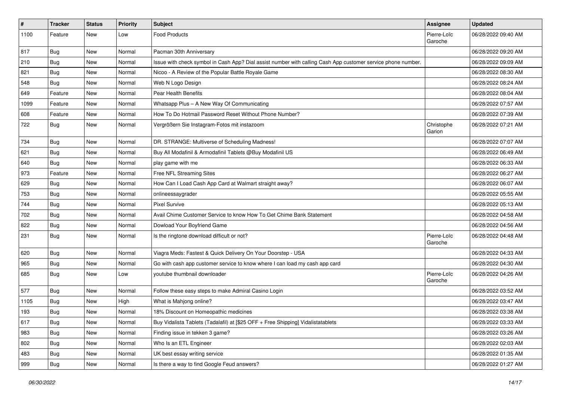| $\pmb{\#}$ | <b>Tracker</b> | <b>Status</b> | Priority | <b>Subject</b>                                                                                               | <b>Assignee</b>        | <b>Updated</b>      |
|------------|----------------|---------------|----------|--------------------------------------------------------------------------------------------------------------|------------------------|---------------------|
| 1100       | Feature        | New           | Low      | <b>Food Products</b>                                                                                         | Pierre-Loïc<br>Garoche | 06/28/2022 09:40 AM |
| 817        | Bug            | New           | Normal   | Pacman 30th Anniversary                                                                                      |                        | 06/28/2022 09:20 AM |
| 210        | <b>Bug</b>     | New           | Normal   | Issue with check symbol in Cash App? Dial assist number with calling Cash App customer service phone number. |                        | 06/28/2022 09:09 AM |
| 821        | Bug            | New           | Normal   | Nicoo - A Review of the Popular Battle Royale Game                                                           |                        | 06/28/2022 08:30 AM |
| 548        | <b>Bug</b>     | New           | Normal   | Web N Logo Design                                                                                            |                        | 06/28/2022 08:24 AM |
| 649        | Feature        | New           | Normal   | Pear Health Benefits                                                                                         |                        | 06/28/2022 08:04 AM |
| 1099       | Feature        | New           | Normal   | Whatsapp Plus - A New Way Of Communicating                                                                   |                        | 06/28/2022 07:57 AM |
| 608        | Feature        | New           | Normal   | How To Do Hotmail Password Reset Without Phone Number?                                                       |                        | 06/28/2022 07:39 AM |
| 722        | <b>Bug</b>     | New           | Normal   | Vergrößern Sie Instagram-Fotos mit instazoom                                                                 | Christophe<br>Garion   | 06/28/2022 07:21 AM |
| 734        | Bug            | New           | Normal   | DR. STRANGE: Multiverse of Scheduling Madness!                                                               |                        | 06/28/2022 07:07 AM |
| 621        | Bug            | New           | Normal   | Buy All Modafinil & Armodafinil Tablets @Buy Modafinil US                                                    |                        | 06/28/2022 06:49 AM |
| 640        | Bug            | New           | Normal   | play game with me                                                                                            |                        | 06/28/2022 06:33 AM |
| 973        | Feature        | New           | Normal   | Free NFL Streaming Sites                                                                                     |                        | 06/28/2022 06:27 AM |
| 629        | Bug            | New           | Normal   | How Can I Load Cash App Card at Walmart straight away?                                                       |                        | 06/28/2022 06:07 AM |
| 753        | <b>Bug</b>     | New           | Normal   | onlineessaygrader                                                                                            |                        | 06/28/2022 05:55 AM |
| 744        | <b>Bug</b>     | New           | Normal   | <b>Pixel Survive</b>                                                                                         |                        | 06/28/2022 05:13 AM |
| 702        | Bug            | New           | Normal   | Avail Chime Customer Service to know How To Get Chime Bank Statement                                         |                        | 06/28/2022 04:58 AM |
| 822        | Bug            | New           | Normal   | Dowload Your Boyfriend Game                                                                                  |                        | 06/28/2022 04:56 AM |
| 231        | Bug            | New           | Normal   | Is the ringtone download difficult or not?                                                                   | Pierre-Loïc<br>Garoche | 06/28/2022 04:48 AM |
| 620        | Bug            | New           | Normal   | Viagra Meds: Fastest & Quick Delivery On Your Doorstep - USA                                                 |                        | 06/28/2022 04:33 AM |
| 965        | Bug            | New           | Normal   | Go with cash app customer service to know where I can load my cash app card                                  |                        | 06/28/2022 04:30 AM |
| 685        | <b>Bug</b>     | New           | Low      | youtube thumbnail downloader                                                                                 | Pierre-Loïc<br>Garoche | 06/28/2022 04:26 AM |
| 577        | <b>Bug</b>     | New           | Normal   | Follow these easy steps to make Admiral Casino Login                                                         |                        | 06/28/2022 03:52 AM |
| 1105       | <b>Bug</b>     | New           | High     | What is Mahjong online?                                                                                      |                        | 06/28/2022 03:47 AM |
| 193        | <b>Bug</b>     | New           | Normal   | 18% Discount on Homeopathic medicines                                                                        |                        | 06/28/2022 03:38 AM |
| 617        | <b>Bug</b>     | New           | Normal   | Buy Vidalista Tablets (Tadalafil) at [\$25 OFF + Free Shipping] Vidalistatablets                             |                        | 06/28/2022 03:33 AM |
| 983        | Bug            | New           | Normal   | Finding issue in tekken 3 game?                                                                              |                        | 06/28/2022 03:26 AM |
| 802        | <b>Bug</b>     | New           | Normal   | Who Is an ETL Engineer                                                                                       |                        | 06/28/2022 02:03 AM |
| 483        | <b>Bug</b>     | New           | Normal   | UK best essay writing service                                                                                |                        | 06/28/2022 01:35 AM |
| 999        | <b>Bug</b>     | New           | Normal   | Is there a way to find Google Feud answers?                                                                  |                        | 06/28/2022 01:27 AM |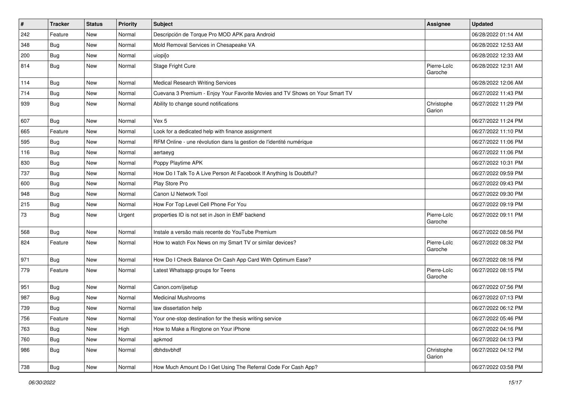| $\pmb{\#}$ | <b>Tracker</b> | <b>Status</b> | Priority | Subject                                                                      | <b>Assignee</b>        | <b>Updated</b>      |
|------------|----------------|---------------|----------|------------------------------------------------------------------------------|------------------------|---------------------|
| 242        | Feature        | New           | Normal   | Descripción de Torque Pro MOD APK para Android                               |                        | 06/28/2022 01:14 AM |
| 348        | <b>Bug</b>     | New           | Normal   | Mold Removal Services in Chesapeake VA                                       |                        | 06/28/2022 12:53 AM |
| 200        | Bug            | New           | Normal   | uiopi[o                                                                      |                        | 06/28/2022 12:33 AM |
| 814        | <b>Bug</b>     | New           | Normal   | Stage Fright Cure                                                            | Pierre-Loïc<br>Garoche | 06/28/2022 12:31 AM |
| 114        | Bug            | New           | Normal   | <b>Medical Research Writing Services</b>                                     |                        | 06/28/2022 12:06 AM |
| 714        | <b>Bug</b>     | New           | Normal   | Cuevana 3 Premium - Enjoy Your Favorite Movies and TV Shows on Your Smart TV |                        | 06/27/2022 11:43 PM |
| 939        | Bug            | New           | Normal   | Ability to change sound notifications                                        | Christophe<br>Garion   | 06/27/2022 11:29 PM |
| 607        | Bug            | New           | Normal   | Vex 5                                                                        |                        | 06/27/2022 11:24 PM |
| 665        | Feature        | New           | Normal   | Look for a dedicated help with finance assignment                            |                        | 06/27/2022 11:10 PM |
| 595        | Bug            | New           | Normal   | RFM Online - une révolution dans la gestion de l'identité numérique          |                        | 06/27/2022 11:06 PM |
| 116        | Bug            | New           | Normal   | aertaeyg                                                                     |                        | 06/27/2022 11:06 PM |
| 830        | <b>Bug</b>     | New           | Normal   | Poppy Playtime APK                                                           |                        | 06/27/2022 10:31 PM |
| 737        | <b>Bug</b>     | New           | Normal   | How Do I Talk To A Live Person At Facebook If Anything Is Doubtful?          |                        | 06/27/2022 09:59 PM |
| 600        | <b>Bug</b>     | New           | Normal   | Play Store Pro                                                               |                        | 06/27/2022 09:43 PM |
| 948        | <b>Bug</b>     | New           | Normal   | Canon IJ Network Tool                                                        |                        | 06/27/2022 09:30 PM |
| 215        | Bug            | New           | Normal   | How For Top Level Cell Phone For You                                         |                        | 06/27/2022 09:19 PM |
| 73         | Bug            | New           | Urgent   | properties ID is not set in Json in EMF backend                              | Pierre-Loïc<br>Garoche | 06/27/2022 09:11 PM |
| 568        | Bug            | New           | Normal   | Instale a versão mais recente do YouTube Premium                             |                        | 06/27/2022 08:56 PM |
| 824        | Feature        | New           | Normal   | How to watch Fox News on my Smart TV or similar devices?                     | Pierre-Loïc<br>Garoche | 06/27/2022 08:32 PM |
| 971        | <b>Bug</b>     | New           | Normal   | How Do I Check Balance On Cash App Card With Optimum Ease?                   |                        | 06/27/2022 08:16 PM |
| 779        | Feature        | New           | Normal   | Latest Whatsapp groups for Teens                                             | Pierre-Loïc<br>Garoche | 06/27/2022 08:15 PM |
| 951        | <b>Bug</b>     | New           | Normal   | Canon.com/ijsetup                                                            |                        | 06/27/2022 07:56 PM |
| 987        | Bug            | New           | Normal   | <b>Medicinal Mushrooms</b>                                                   |                        | 06/27/2022 07:13 PM |
| 739        | Bug            | New           | Normal   | law dissertation help                                                        |                        | 06/27/2022 06:12 PM |
| 756        | Feature        | New           | Normal   | Your one-stop destination for the thesis writing service                     |                        | 06/27/2022 05:46 PM |
| 763        | <b>Bug</b>     | New           | High     | How to Make a Ringtone on Your iPhone                                        |                        | 06/27/2022 04:16 PM |
| 760        | Bug            | New           | Normal   | apkmod                                                                       |                        | 06/27/2022 04:13 PM |
| 986        | Bug            | New           | Normal   | dbhdsvbhdf                                                                   | Christophe<br>Garion   | 06/27/2022 04:12 PM |
| 738        | <b>Bug</b>     | New           | Normal   | How Much Amount Do I Get Using The Referral Code For Cash App?               |                        | 06/27/2022 03:58 PM |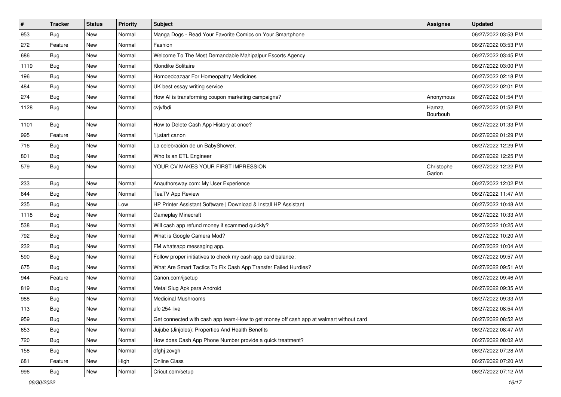| $\vert$ # | <b>Tracker</b> | <b>Status</b> | <b>Priority</b> | <b>Subject</b>                                                                         | Assignee             | <b>Updated</b>      |
|-----------|----------------|---------------|-----------------|----------------------------------------------------------------------------------------|----------------------|---------------------|
| 953       | <b>Bug</b>     | New           | Normal          | Manga Dogs - Read Your Favorite Comics on Your Smartphone                              |                      | 06/27/2022 03:53 PM |
| 272       | Feature        | New           | Normal          | Fashion                                                                                |                      | 06/27/2022 03:53 PM |
| 686       | Bug            | New           | Normal          | Welcome To The Most Demandable Mahipalpur Escorts Agency                               |                      | 06/27/2022 03:45 PM |
| 1119      | <b>Bug</b>     | New           | Normal          | Klondike Solitaire                                                                     |                      | 06/27/2022 03:00 PM |
| 196       | Bug            | New           | Normal          | Homoeobazaar For Homeopathy Medicines                                                  |                      | 06/27/2022 02:18 PM |
| 484       | <b>Bug</b>     | New           | Normal          | UK best essay writing service                                                          |                      | 06/27/2022 02:01 PM |
| 274       | Bug            | New           | Normal          | How AI is transforming coupon marketing campaigns?                                     | Anonymous            | 06/27/2022 01:54 PM |
| 1128      | <b>Bug</b>     | New           | Normal          | cvjvfbdi                                                                               | Hamza<br>Bourbouh    | 06/27/2022 01:52 PM |
| 1101      | <b>Bug</b>     | <b>New</b>    | Normal          | How to Delete Cash App History at once?                                                |                      | 06/27/2022 01:33 PM |
| 995       | Feature        | New           | Normal          | "ij.start canon                                                                        |                      | 06/27/2022 01:29 PM |
| 716       | <b>Bug</b>     | New           | Normal          | La celebración de un BabyShower.                                                       |                      | 06/27/2022 12:29 PM |
| 801       | Bug            | New           | Normal          | Who Is an ETL Engineer                                                                 |                      | 06/27/2022 12:25 PM |
| 579       | Bug            | New           | Normal          | YOUR CV MAKES YOUR FIRST IMPRESSION                                                    | Christophe<br>Garion | 06/27/2022 12:22 PM |
| 233       | Bug            | New           | Normal          | Anauthorsway.com: My User Experience                                                   |                      | 06/27/2022 12:02 PM |
| 644       | <b>Bug</b>     | New           | Normal          | <b>TeaTV App Review</b>                                                                |                      | 06/27/2022 11:47 AM |
| 235       | <b>Bug</b>     | New           | Low             | HP Printer Assistant Software   Download & Install HP Assistant                        |                      | 06/27/2022 10:48 AM |
| 1118      | <b>Bug</b>     | New           | Normal          | Gameplay Minecraft                                                                     |                      | 06/27/2022 10:33 AM |
| 538       | <b>Bug</b>     | New           | Normal          | Will cash app refund money if scammed quickly?                                         |                      | 06/27/2022 10:25 AM |
| 792       | Bug            | New           | Normal          | What is Google Camera Mod?                                                             |                      | 06/27/2022 10:20 AM |
| 232       | Bug            | New           | Normal          | FM whatsapp messaging app.                                                             |                      | 06/27/2022 10:04 AM |
| 590       | Bug            | New           | Normal          | Follow proper initiatives to check my cash app card balance:                           |                      | 06/27/2022 09:57 AM |
| 675       | Bug            | New           | Normal          | What Are Smart Tactics To Fix Cash App Transfer Failed Hurdles?                        |                      | 06/27/2022 09:51 AM |
| 944       | Feature        | New           | Normal          | Canon.com/ijsetup                                                                      |                      | 06/27/2022 09:46 AM |
| 819       | Bug            | New           | Normal          | Metal Slug Apk para Android                                                            |                      | 06/27/2022 09:35 AM |
| 988       | <b>Bug</b>     | New           | Normal          | <b>Medicinal Mushrooms</b>                                                             |                      | 06/27/2022 09:33 AM |
| 113       | <b>Bug</b>     | New           | Normal          | ufc 254 live                                                                           |                      | 06/27/2022 08:54 AM |
| 959       | Bug            | New           | Normal          | Get connected with cash app team-How to get money off cash app at walmart without card |                      | 06/27/2022 08:52 AM |
| 653       | <b>Bug</b>     | New           | Normal          | Jujube (Jinjoles): Properties And Health Benefits                                      |                      | 06/27/2022 08:47 AM |
| 720       | Bug            | New           | Normal          | How does Cash App Phone Number provide a quick treatment?                              |                      | 06/27/2022 08:02 AM |
| 158       | <b>Bug</b>     | New           | Normal          | dfghj zcvgh                                                                            |                      | 06/27/2022 07:28 AM |
| 681       | Feature        | New           | High            | Online Class                                                                           |                      | 06/27/2022 07:20 AM |
| 996       | Bug            | New           | Normal          | Cricut.com/setup                                                                       |                      | 06/27/2022 07:12 AM |